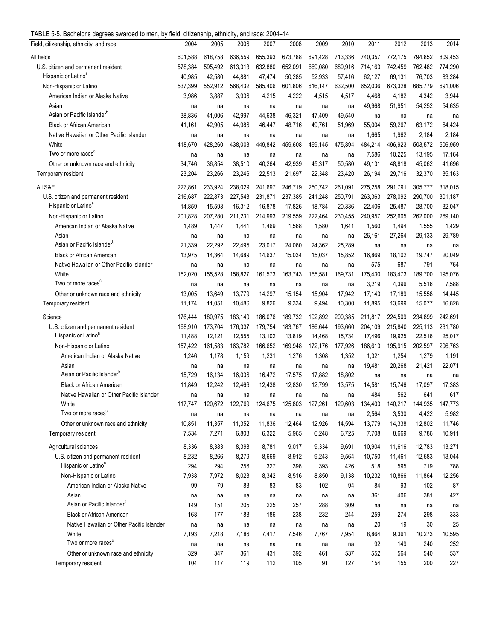TABLE 5-5. Bachelor's degrees awarded to men, by field, citizenship, ethnicity, and race: 2004–14

| Field, citizenship, ethnicity, and race                    | 2004             | 2005             | 2006             | 2007             | 2008             | 2009             | 2010             | 2011             | 2012             | 2013             | 2014             |
|------------------------------------------------------------|------------------|------------------|------------------|------------------|------------------|------------------|------------------|------------------|------------------|------------------|------------------|
| All fields                                                 | 601,588          | 618,758          | 636,559          | 655,393          | 673,788          | 691,428          | 713,336          | 740,357          | 772,175          | 794,852          | 809,453          |
| U.S. citizen and permanent resident                        | 578,384          | 595,492          | 613,313          | 632,880          | 652,091          | 669,080          | 689,916          | 714,163          | 742,459          | 762,482          | 774,290          |
| Hispanic or Latino <sup>a</sup>                            | 40,985           | 42,580           | 44,881           | 47,474           | 50,285           | 52,933           | 57,416           | 62,127           | 69,131           | 76,703           | 83,284           |
| Non-Hispanic or Latino                                     | 537,399          | 552,912          | 568,432          | 585,406          | 601,806          | 616,147          | 632,500          | 652,036          | 673,328          | 685,779          | 691,006          |
| American Indian or Alaska Native                           | 3,986            | 3,887            | 3,936            | 4,215            | 4,222            | 4,515            | 4,517            | 4,468            | 4,182            | 4,342            | 3,944            |
| Asian                                                      | na               | na               | na               | na               | na               | na               | na               | 49,968           | 51,951           | 54,252           | 54,635           |
| Asian or Pacific Islander <sup>b</sup>                     | 38,836           | 41,006           | 42,997           | 44,638           | 46,321           | 47,409           | 49,540           | na               | na               | na               | na               |
| <b>Black or African American</b>                           | 41,161           | 42,905           | 44,986           | 46,447           | 48,716           | 49,761           | 51,969           | 55,004           | 59,267           | 63,172           | 64,424           |
| Native Hawaiian or Other Pacific Islander                  | na               | na               | na               | na               | na               | na               | na               | 1,665            | 1,962            | 2,184            | 2,184            |
| White                                                      | 418.670          | 428,260          | 438,003          | 449,842          | 459,608          | 469,145          | 475,894          | 484,214          | 496,923          | 503,572          | 506,959          |
| Two or more races <sup>c</sup>                             | na               | na               | na               | na               | na               | na               | na               | 7,586            | 10,225           | 13,195           | 17,164           |
| Other or unknown race and ethnicity                        | 34,746           | 36,854           | 38,510           | 40,264           | 42,939           | 45,317           | 50,580           | 49,131           | 48,818           | 45,062           | 41,696           |
| Temporary resident                                         | 23,204           | 23,266           | 23,246           | 22,513           | 21,697           | 22,348           | 23,420           | 26,194           | 29,716           | 32,370           | 35,163           |
| All S&E                                                    | 227,861          | 233,924          | 238,029          | 241,697          | 246,719          | 250,742          | 261,091          | 275,258          | 291,791          | 305,777          | 318,015          |
| U.S. citizen and permanent resident                        | 216,687          | 222,873          | 227,543          | 231,871          | 237,385          | 241,248          | 250,791          | 263,363          | 278,092          | 290,700          | 301,187          |
| Hispanic or Latino <sup>a</sup>                            | 14,859           | 15,593           | 16,312           | 16,878           | 17,826           | 18,784           | 20,336           | 22,406           | 25,487           | 28,700           | 32,047           |
| Non-Hispanic or Latino                                     | 201,828          | 207,280          | 211,231          | 214,993          | 219,559          | 222,464          | 230,455          | 240,957          | 252,605          | 262,000          | 269,140          |
| American Indian or Alaska Native                           | 1,489            | 1,447            | 1,441            | 1,469            | 1,568            | 1,580            | 1,641            | 1,560            | 1,494            | 1,555            | 1,429            |
| Asian                                                      | na               | na               | na               | na               | na               | na               | na               | 26,161           | 27,264           | 29,133           | 29,789           |
| Asian or Pacific Islander <sup>b</sup>                     | 21,339           | 22,292           | 22,495           | 23,017           | 24,060           | 24,362           | 25,289           | na               | na               | na               | na               |
| <b>Black or African American</b>                           | 13,975           | 14,364           | 14,689           | 14,637           | 15,034           | 15,037           | 15,852           | 16,869           | 18,102           | 19,747           | 20,049           |
| Native Hawaiian or Other Pacific Islander                  | na               | na               | na               | na               | na               | na               | na               | 575              | 687              | 791              | 764              |
| White                                                      | 152,020          | 155,528          | 158,827          | 161,573          | 163,743          | 165,581          | 169,731          | 175,430          | 183,473          | 189,700          | 195,076          |
| Two or more races                                          | na               | na               | na               | na               | na               | na               | na               | 3,219            | 4,396            | 5,516            | 7,588            |
| Other or unknown race and ethnicity                        | 13,005           | 13,649           | 13,779           | 14,297           | 15,154           | 15,904           | 17,942           | 17,143           | 17,189           | 15,558           | 14,445           |
| Temporary resident                                         | 11,174           | 11,051           | 10,486           | 9,826            | 9,334            | 9,494            | 10,300           | 11,895           | 13,699           | 15,077           | 16,828           |
| Science                                                    | 176,444          | 180,975          | 183,140          | 186,076          | 189,732          | 192,892          | 200,385          | 211,817          | 224,509          | 234,899          | 242,691          |
| U.S. citizen and permanent resident                        | 168,910          | 173,704          | 176,337          | 179,754          | 183,767          | 186,644          | 193,660          | 204,109          | 215,840          | 225,113          | 231,780          |
| Hispanic or Latino <sup>a</sup>                            | 11,488           |                  | 12,555           |                  |                  |                  |                  |                  |                  |                  |                  |
|                                                            |                  | 12,121           |                  | 13,102           | 13,819           | 14,468           | 15,734           | 17,496           | 19,925           | 22,516           | 25,017           |
| Non-Hispanic or Latino<br>American Indian or Alaska Native | 157,422<br>1,246 | 161,583<br>1,178 | 163,782<br>1,159 | 166,652<br>1,231 | 169,948<br>1,276 | 172,176<br>1,308 | 177,926<br>1,352 | 186,613<br>1,321 | 195,915<br>1,254 | 202,597<br>1,279 | 206,763<br>1,191 |
|                                                            |                  |                  |                  |                  |                  |                  |                  | 19,481           | 20,268           | 21,421           | 22,071           |
| Asian<br>Asian or Pacific Islander <sup>b</sup>            | na<br>15,729     | na<br>16,134     | na<br>16,036     | na<br>16,472     | na<br>17,575     | na<br>17,882     | na<br>18,802     |                  |                  |                  |                  |
| <b>Black or African American</b>                           | 11,849           | 12,242           | 12,466           | 12,438           | 12,830           | 12,799           | 13,575           | na<br>14,581     | na<br>15,746     | na<br>17,097     | na<br>17,383     |
| Native Hawaiian or Other Pacific Islander                  |                  |                  |                  |                  |                  |                  |                  | 484              | 562              | 641              | 617              |
| White                                                      | na               | na               | na               | na               | na               | na               | na               |                  | 140,217          | 144,935          |                  |
| Two or more races <sup>c</sup>                             | 117,747          | 120,672          | 122,769          | 124,675          | 125,803          | 127,261          | 129,603          | 134,403<br>2,564 | 3,530            | 4,422            | 147,773<br>5,982 |
| Other or unknown race and ethnicity                        | na<br>10,851     | na<br>11,357     | na<br>11,352     | na<br>11,836     | na<br>12,464     | na<br>12,926     | na<br>14,594     | 13,779           | 14,338           | 12,802           | 11,746           |
| Temporary resident                                         | 7,534            | 7,271            | 6,803            | 6,322            | 5,965            | 6,248            | 6,725            | 7,708            | 8,669            | 9,786            | 10,911           |
|                                                            |                  |                  |                  |                  |                  |                  |                  |                  |                  |                  |                  |
| Agricultural sciences                                      | 8,336            | 8,383            | 8,398            | 8,781            | 9,017            | 9,334            | 9,691            | 10,904           | 11,616           | 12,783           | 13,271           |
| U.S. citizen and permanent resident                        | 8,232            | 8,266            | 8,279            | 8,669            | 8,912            | 9,243            | 9,564            | 10,750           | 11,461           | 12,583           | 13,044           |
| Hispanic or Latino <sup>a</sup>                            | 294              | 294              | 256              | 327              | 396              | 393              | 426              | 518              | 595              | 719              | 788              |
| Non-Hispanic or Latino                                     | 7,938            | 7,972            | 8,023            | 8,342            | 8,516            | 8,850            | 9,138            | 10,232           | 10,866           | 11,864           | 12,256           |
| American Indian or Alaska Native                           | 99               | 79               | 83               | 83               | 83               | 102              | 94               | 84               | 93               | 102              | 87               |
| Asian                                                      | na               | na               | na               | na               | na               | na               | na               | 361              | 406              | 381              | 427              |
| Asian or Pacific Islander <sup>b</sup>                     | 149              | 151              | 205              | 225              | 257              | 288              | 309              | na               | na               | na               | na               |
| Black or African American                                  | 168              | 177              | 188              | 186              | 238              | 232              | 244              | 259              | 274              | 298              | 333              |
| Native Hawaiian or Other Pacific Islander                  | na               | na               | na               | na               | na               | na               | na               | 20               | 19               | 30               | 25               |
| White                                                      | 7,193            | 7,218            | 7,186            | 7,417            | 7,546            | 7,767            | 7,954            | 8,864            | 9,361            | 10,273           | 10,595           |
| Two or more races <sup>c</sup>                             | na               | na               | na               | na               | na               | na               | na               | 92               | 149              | 240              | 252              |
| Other or unknown race and ethnicity                        | 329              | 347              | 361              | 431              | 392              | 461              | 537              | 552              | 564              | 540              | 537              |
| Temporary resident                                         | 104              | 117              | 119              | 112              | 105              | 91               | 127              | 154              | 155              | 200              | 227              |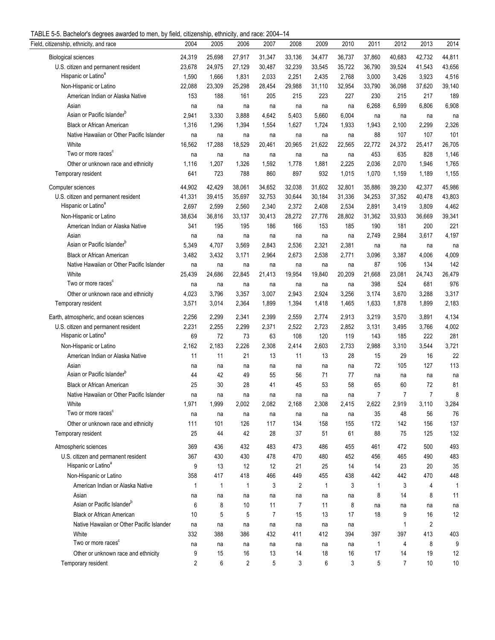| TABLE 5-5. Bachelor's degrees awarded to men, by field, citizenship, ethnicity, and race: 2004-14 |  |  |  |
|---------------------------------------------------------------------------------------------------|--|--|--|
|                                                                                                   |  |  |  |

| $\sigma$ or Badrian cracking and about the mon, by noid, diazonomp, diminuity, and radd. Zoo r<br>Field, citizenship, ethnicity, and race | 2004         | 2005   | 2006         | 2007           | . .<br>2008    | 2009         | 2010   | 2011           | 2012           | 2013           | 2014         |
|-------------------------------------------------------------------------------------------------------------------------------------------|--------------|--------|--------------|----------------|----------------|--------------|--------|----------------|----------------|----------------|--------------|
| <b>Biological sciences</b>                                                                                                                | 24,319       | 25,698 | 27,917       | 31,347         | 33,136         | 34,477       | 36,737 | 37,860         | 40,683         | 42,732         | 44,811       |
| U.S. citizen and permanent resident                                                                                                       | 23,678       | 24.975 | 27,129       | 30,487         | 32,239         | 33,545       | 35,722 | 36,790         | 39,524         | 41,543         | 43,656       |
| Hispanic or Latino <sup>a</sup>                                                                                                           | 1,590        | 1,666  | 1,831        | 2,033          | 2,251          | 2,435        | 2,768  | 3,000          | 3,426          | 3,923          | 4,516        |
| Non-Hispanic or Latino                                                                                                                    | 22,088       | 23,309 | 25,298       | 28,454         | 29,988         | 31,110       | 32,954 | 33,790         | 36,098         | 37,620         | 39,140       |
| American Indian or Alaska Native                                                                                                          | 153          | 188    | 161          | 205            | 215            | 223          | 227    | 230            | 215            | 217            | 189          |
| Asian                                                                                                                                     | na           | na     | na           | na             | na             | na           | na     | 6,268          | 6,599          | 6,806          | 6,908        |
| Asian or Pacific Islander <sup>b</sup>                                                                                                    | 2,941        | 3,330  | 3,888        | 4,642          | 5,403          | 5,660        | 6,004  |                |                |                |              |
| <b>Black or African American</b>                                                                                                          |              | 1,296  |              |                |                |              |        | na             | na             | na             | na<br>2,326  |
|                                                                                                                                           | 1,316        |        | 1,394        | 1,554          | 1,627          | 1,724        | 1,933  | 1,943          | 2,100          | 2,299          |              |
| Native Hawaiian or Other Pacific Islander                                                                                                 | na           | na     | na           | na             | na             | na           | na     | 88             | 107            | 107            | 101          |
| White<br>Two or more races <sup>c</sup>                                                                                                   | 16,562       | 17,288 | 18,529       | 20,461         | 20,965         | 21,622       | 22,565 | 22,772         | 24,372         | 25,417         | 26,705       |
|                                                                                                                                           | na           | na     | na           | na             | na             | na           | na     | 453            | 635            | 828            | 1,146        |
| Other or unknown race and ethnicity                                                                                                       | 1,116        | 1,207  | 1,326        | 1,592          | 1,778          | 1,881        | 2,225  | 2,036          | 2,070          | 1,946          | 1,765        |
| Temporary resident                                                                                                                        | 641          | 723    | 788          | 860            | 897            | 932          | 1,015  | 1,070          | 1,159          | 1,189          | 1,155        |
| Computer sciences                                                                                                                         | 44,902       | 42,429 | 38,061       | 34,652         | 32,038         | 31,602       | 32,801 | 35,886         | 39,230         | 42,377         | 45,986       |
| U.S. citizen and permanent resident                                                                                                       | 41,331       | 39,415 | 35,697       | 32,753         | 30,644         | 30,184       | 31,336 | 34,253         | 37,352         | 40,478         | 43,803       |
| Hispanic or Latino <sup>a</sup>                                                                                                           | 2,697        | 2,599  | 2,560        | 2,340          | 2,372          | 2,408        | 2,534  | 2,891          | 3,419          | 3,809          | 4,462        |
| Non-Hispanic or Latino                                                                                                                    | 38,634       | 36,816 | 33,137       | 30,413         | 28,272         | 27,776       | 28,802 | 31,362         | 33,933         | 36,669         | 39,341       |
| American Indian or Alaska Native                                                                                                          | 341          | 195    | 195          | 186            | 166            | 153          | 185    | 190            | 181            | 200            | 221          |
| Asian                                                                                                                                     | na           | na     | na           | na             | na             | na           | na     | 2,749          | 2,984          | 3,617          | 4,197        |
| Asian or Pacific Islander <sup>b</sup>                                                                                                    | 5,349        | 4,707  | 3,569        | 2,843          | 2,536          | 2,321        | 2,381  | na             | na             | na             | na           |
| <b>Black or African American</b>                                                                                                          | 3,482        | 3,432  | 3,171        | 2,964          | 2,673          | 2,538        | 2,771  | 3,096          | 3,387          | 4,006          | 4,009        |
| Native Hawaiian or Other Pacific Islander                                                                                                 | na           | na     | na           | na             | na             | na           | na     | 87             | 106            | 134            | 142          |
| White                                                                                                                                     | 25,439       | 24,686 | 22,845       | 21,413         | 19,954         | 19,840       | 20,209 | 21,668         | 23,081         | 24,743         | 26,479       |
| Two or more races <sup>c</sup>                                                                                                            | na           | na     | na           | na             | na             | na           | na     | 398            | 524            | 681            | 976          |
| Other or unknown race and ethnicity                                                                                                       | 4,023        | 3,796  | 3,357        | 3,007          | 2,943          | 2,924        | 3,256  | 3,174          | 3,670          | 3,288          | 3,317        |
| Temporary resident                                                                                                                        | 3,571        | 3,014  | 2,364        | 1,899          | 1,394          | 1,418        | 1,465  | 1,633          | 1,878          | 1,899          | 2,183        |
| Earth, atmospheric, and ocean sciences                                                                                                    | 2,256        | 2,299  | 2,341        | 2,399          | 2,559          | 2,774        | 2,913  | 3,219          | 3,570          | 3,891          | 4,134        |
| U.S. citizen and permanent resident                                                                                                       | 2,231        | 2,255  | 2,299        | 2,371          | 2,522          | 2,723        | 2,852  | 3,131          | 3,495          | 3,766          | 4,002        |
| Hispanic or Latino <sup>a</sup>                                                                                                           |              | 72     | 73           |                | 108            | 120          | 119    | 143            | 185            | 222            | 281          |
|                                                                                                                                           | 69           |        |              | 63             |                |              |        |                |                |                |              |
| Non-Hispanic or Latino                                                                                                                    | 2,162        | 2,183  | 2,226        | 2,308          | 2,414          | 2,603        | 2,733  | 2,988          | 3,310          | 3,544          | 3,721        |
| American Indian or Alaska Native                                                                                                          | 11           | 11     | 21           | 13             | 11             | 13           | 28     | 15             | 29             | 16             | 22           |
| Asian<br>Asian or Pacific Islander <sup>b</sup>                                                                                           | na           | na     | na           | na             | na             | na           | na     | 72             | 105            | 127            | 113          |
|                                                                                                                                           | 44           | 42     | 49           | 55             | 56             | 71           | 77     | na             | na             | na             | na           |
| <b>Black or African American</b>                                                                                                          | 25           | 30     | 28           | 41             | 45             | 53           | 58     | 65             | 60             | 72             | 81           |
| Native Hawaiian or Other Pacific Islander                                                                                                 | na           | na     | na           | na             | na             | na           | na     | $\overline{7}$ | $\overline{7}$ | $\overline{7}$ | 8            |
| White                                                                                                                                     | 1,971        | 1,999  | 2,002        | 2,082          | 2,168          | 2,308        | 2,415  | 2,622          | 2,919          | 3,110          | 3,284        |
| Two or more races <sup>c</sup>                                                                                                            | na           | na     | na           | na             | na             | na           | na     | 35             | 48             | 56             | 76           |
| Other or unknown race and ethnicity                                                                                                       | 111          | 101    | 126          | 117            | 134            | 158          | 155    | 172            | 142            | 156            | 137          |
| Temporary resident                                                                                                                        | 25           | 44     | 42           | 28             | 37             | 51           | 61     | 88             | 75             | 125            | 132          |
| Atmospheric sciences                                                                                                                      | 369          | 436    | 432          | 483            | 473            | 486          | 455    | 461            | 472            | 500            | 493          |
| U.S. citizen and permanent resident                                                                                                       | 367          | 430    | 430          | 478            | 470            | 480          | 452    | 456            | 465            | 490            | 483          |
| Hispanic or Latino <sup>a</sup>                                                                                                           | 9            | 13     | 12           | 12             | 21             | 25           | 14     | 14             | 23             | 20             | 35           |
| Non-Hispanic or Latino                                                                                                                    | 358          | 417    | 418          | 466            | 449            | 455          | 438    | 442            | 442            | 470            | 448          |
| American Indian or Alaska Native                                                                                                          | 1            | 1      | $\mathbf{1}$ | 3              | $\overline{2}$ | $\mathbf{1}$ | 3      | 1              | 3              | 4              | $\mathbf{1}$ |
| Asian                                                                                                                                     | na           | na     | na           | na             | na             | na           | na     | 8              | 14             | 8              | 11           |
| Asian or Pacific Islander <sup>b</sup>                                                                                                    | 6            | 8      | 10           | 11             | $\overline{7}$ | 11           | 8      | na             | na             | na             | na           |
| <b>Black or African American</b>                                                                                                          | 10           | 5      | 5            | $\overline{7}$ | 15             | 13           | 17     | 18             | 9              | 16             | 12           |
| Native Hawaiian or Other Pacific Islander                                                                                                 | na           | na     | na           | na             | na             | na           | na     |                | $\mathbf{1}$   | $\overline{2}$ |              |
| White                                                                                                                                     | 332          | 388    | 386          | 432            | 411            | 412          | 394    | 397            | 397            | 413            | 403          |
| Two or more races <sup>c</sup>                                                                                                            | na           | na     | na           | na             | na             | na           | na     | 1              | 4              | 8              | 9            |
| Other or unknown race and ethnicity                                                                                                       | 9            | 15     | 16           | 13             | 14             | 18           | 16     | 17             | 14             | 19             | 12           |
| Temporary resident                                                                                                                        | $\mathbf{2}$ | 6      | 2            | 5              | 3              | 6            | 3      | 5              | $\overline{7}$ | 10             | 10           |
|                                                                                                                                           |              |        |              |                |                |              |        |                |                |                |              |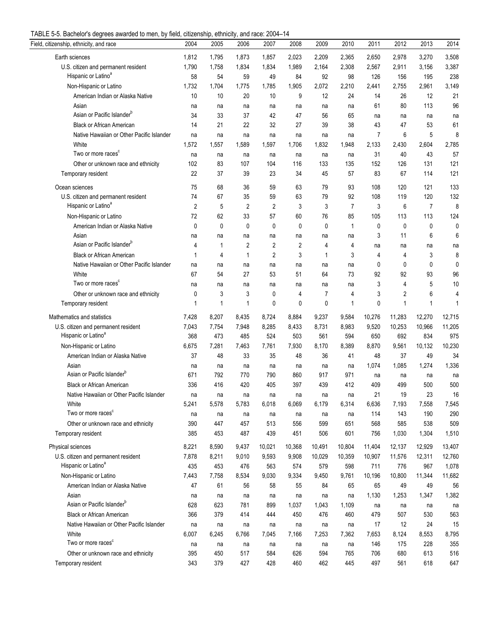| TABLE 5-5. Bachelor's degrees awarded to men, by field, citizenship, ethnicity, and race: 2004-14 |  |  |  |  |
|---------------------------------------------------------------------------------------------------|--|--|--|--|
|                                                                                                   |  |  |  |  |

| o. Daonoror o aog<br>Field, citizenship, ethnicity, and race | 2004           | 2005        | uu<br>2006     | 2007        | 2008        | 2009         | 2010           | 2011     | 2012   | 2013           | 2014        |
|--------------------------------------------------------------|----------------|-------------|----------------|-------------|-------------|--------------|----------------|----------|--------|----------------|-------------|
| Earth sciences                                               | 1,812          | 1,795       | 1,873          | 1,857       | 2,023       | 2,209        | 2,365          | 2,650    | 2,978  | 3,270          | 3,508       |
| U.S. citizen and permanent resident                          | 1,790          | 1,758       | 1,834          | 1,834       | 1,989       | 2,164        | 2,308          | 2,567    | 2,911  | 3,156          | 3,387       |
| Hispanic or Latino <sup>a</sup>                              | 58             | 54          | 59             | 49          | 84          | 92           | 98             | 126      | 156    | 195            | 238         |
| Non-Hispanic or Latino                                       | 1,732          | 1,704       | 1,775          | 1,785       | 1,905       | 2,072        | 2,210          | 2,441    | 2,755  | 2,961          | 3,149       |
| American Indian or Alaska Native                             | 10             | 10          | 20             | 10          | 9           | 12           | 24             | 14       | 26     | 12             | 21          |
| Asian                                                        | na             | na          | na             | na          | na          | na           | na             | 61       | 80     | 113            | 96          |
| Asian or Pacific Islander <sup>b</sup>                       | 34             | 33          | 37             | 42          | 47          | 56           | 65             |          | na     | na             | na          |
| <b>Black or African American</b>                             | 14             | 21          | 22             | 32          | 27          | 39           | 38             | na<br>43 | 47     | 53             | 61          |
| Native Hawaiian or Other Pacific Islander                    |                |             |                |             |             |              |                | 7        | 6      | 5              | 8           |
| White                                                        | na<br>1,572    | na<br>1,557 | na<br>1,589    | na<br>1,597 | na<br>1,706 | na<br>1,832  | na<br>1,948    | 2,133    | 2,430  | 2,604          | 2,785       |
| Two or more races <sup>c</sup>                               |                |             |                |             |             |              |                | 31       | 40     | 43             | 57          |
| Other or unknown race and ethnicity                          | na<br>102      | na<br>83    | na<br>107      | na<br>104   | na<br>116   | na<br>133    | na<br>135      | 152      | 126    | 131            | 121         |
|                                                              | 22             | 37          | 39             | 23          |             |              | 57             | 83       |        | 114            | 121         |
| Temporary resident                                           |                |             |                |             | 34          | 45           |                |          | 67     |                |             |
| Ocean sciences                                               | 75             | 68          | 36             | 59          | 63          | 79           | 93             | 108      | 120    | 121            | 133         |
| U.S. citizen and permanent resident                          | 74             | 67          | 35             | 59          | 63          | 79           | 92             | 108      | 119    | 120            | 132         |
| Hispanic or Latino <sup>a</sup>                              | $\overline{2}$ | 5           | $\overline{2}$ | 2           | 3           | 3            | $\overline{7}$ | 3        | 6      | $\overline{7}$ | 8           |
| Non-Hispanic or Latino                                       | 72             | 62          | 33             | 57          | 60          | 76           | 85             | 105      | 113    | 113            | 124         |
| American Indian or Alaska Native                             | 0              | 0           | 0              | 0           | 0           | $\mathbf{0}$ | $\mathbf{1}$   | 0        | 0      | 0              | 0           |
| Asian                                                        | na             | na          | na             | na          | na          | na           | na             | 3        | 11     | 6              | 6           |
| Asian or Pacific Islander <sup>b</sup>                       | 4              | 1           | 2              | 2           | 2           | 4            | 4              | na       | na     | na             | na          |
| <b>Black or African American</b>                             | 1              | 4           | $\mathbf{1}$   | 2           | 3           | $\mathbf{1}$ | 3              | 4        | 4      | 3              | 8           |
| Native Hawaiian or Other Pacific Islander                    | na             | na          | na             | na          | na          | na           | na             | 0        | 0      | 0              | $\mathbf 0$ |
| White                                                        | 67             | 54          | 27             | 53          | 51          | 64           | 73             | 92       | 92     | 93             | 96          |
| Two or more races <sup>c</sup>                               | na             | na          | na             | na          | na          | na           | na             | 3        | 4      | 5              | 10          |
| Other or unknown race and ethnicity                          | 0              | 3           | 3              | 0           | 4           | 7            | 4              | 3        | 2      | 6              | 4           |
| Temporary resident                                           | $\mathbf 1$    | 1           | $\mathbf{1}$   | 0           | 0           | $\mathbf{0}$ | 1              | 0        | 1      | 1              | 1           |
| Mathematics and statistics                                   | 7,428          | 8,207       | 8,435          | 8,724       | 8,884       | 9,237        | 9,584          | 10,276   | 11,283 | 12,270         | 12,715      |
| U.S. citizen and permanent resident                          | 7,043          | 7,754       | 7,948          | 8,285       | 8,433       | 8,731        | 8,983          | 9,520    | 10,253 | 10,966         | 11,205      |
| Hispanic or Latino <sup>a</sup>                              | 368            | 473         | 485            | 524         | 503         | 561          | 594            | 650      | 692    | 834            | 975         |
| Non-Hispanic or Latino                                       | 6,675          | 7,281       | 7,463          | 7,761       | 7,930       | 8,170        | 8,389          | 8,870    | 9,561  | 10,132         | 10,230      |
| American Indian or Alaska Native                             | 37             | 48          | 33             | 35          | 48          | 36           | 41             | 48       | 37     | 49             | 34          |
| Asian                                                        | na             | na          | na             | na          | na          | na           | na             | 1,074    | 1,085  | 1,274          | 1,336       |
| Asian or Pacific Islander <sup>b</sup>                       | 671            | 792         | 770            | 790         | 860         | 917          | 971            | na       | na     | na             | na          |
| <b>Black or African American</b>                             | 336            | 416         | 420            | 405         | 397         | 439          | 412            | 409      | 499    | 500            | 500         |
| Native Hawaiian or Other Pacific Islander                    | na             | na          | na             | na          | na          | na           | na             | 21       | 19     | 23             | 16          |
| White                                                        | 5,241          | 5,578       | 5,783          | 6,018       | 6,069       | 6,179        | 6,314          | 6,636    | 7,193  | 7,558          | 7,545       |
| Two or more races <sup>c</sup>                               |                |             |                |             |             |              |                | 114      | 143    | 190            | 290         |
| Other or unknown race and ethnicity                          | na<br>390      | na<br>447   | na<br>457      | na<br>513   | na<br>556   | na<br>599    | na<br>651      | 568      | 585    | 538            | 509         |
|                                                              | 385            | 453         | 487            | 439         | 451         | 506          | 601            | 756      | 1,030  | 1,304          | 1,510       |
| Temporary resident                                           |                |             |                |             |             |              |                |          |        |                |             |
| Physical sciences                                            | 8,221          | 8,590       | 9,437          | 10,021      | 10,368      | 10,491       | 10,804         | 11,404   | 12,137 | 12,929         | 13,407      |
| U.S. citizen and permanent resident                          | 7,878          | 8,211       | 9,010          | 9,593       | 9,908       | 10,029       | 10,359         | 10,907   | 11,576 | 12,311         | 12,760      |
| Hispanic or Latino <sup>a</sup>                              | 435            | 453         | 476            | 563         | 574         | 579          | 598            | 711      | 776    | 967            | 1,078       |
| Non-Hispanic or Latino                                       | 7,443          | 7,758       | 8,534          | 9,030       | 9,334       | 9,450        | 9,761          | 10,196   | 10,800 | 11,344         | 11,682      |
| American Indian or Alaska Native                             | 47             | 61          | 56             | 58          | 55          | 84           | 65             | 65       | 49     | 49             | 56          |
| Asian                                                        | na             | na          | na             | na          | na          | na           | na             | 1,130    | 1,253  | 1,347          | 1,382       |
| Asian or Pacific Islander <sup>b</sup>                       | 628            | 623         | 781            | 899         | 1,037       | 1,043        | 1,109          | na       | na     | na             | na          |
| <b>Black or African American</b>                             | 366            | 379         | 414            | 444         | 450         | 476          | 460            | 479      | 507    | 530            | 563         |
| Native Hawaiian or Other Pacific Islander                    | na             | na          | na             | na          | na          | na           | na             | 17       | 12     | 24             | 15          |
| White                                                        | 6,007          | 6,245       | 6,766          | 7,045       | 7,166       | 7,253        | 7,362          | 7,653    | 8,124  | 8,553          | 8,795       |
| Two or more races <sup>c</sup>                               | na             | na          | na             | na          | na          | na           | na             | 146      | 175    | 228            | 355         |
| Other or unknown race and ethnicity                          | 395            | 450         | 517            | 584         | 626         | 594          | 765            | 706      | 680    | 613            | 516         |
| Temporary resident                                           | 343            | 379         | 427            | 428         | 460         | 462          | 445            | 497      | 561    | 618            | 647         |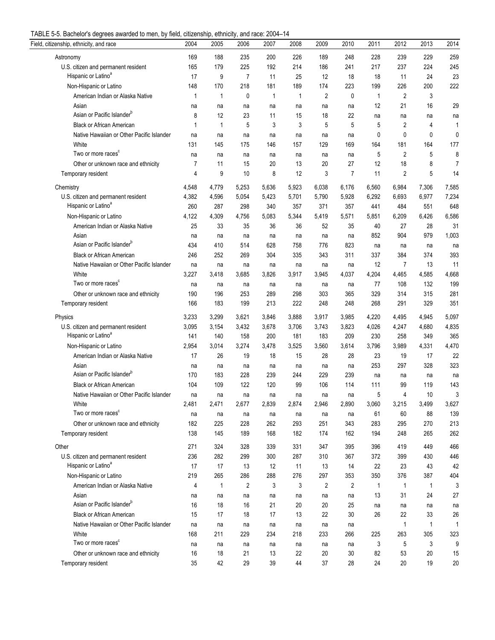| TABLE 5-5. Bachelor's degrees awarded to men, by field, citizenship, ethnicity, and race: 2004-14 |  |  |  |  |
|---------------------------------------------------------------------------------------------------|--|--|--|--|
|                                                                                                   |  |  |  |  |

| Field, citizenship, ethnicity, and race   | 2004  | 2005  | 2006           | 2007        | 2008  | 2009           | 2010  | 2011  | 2012  | 2013         | 2014           |
|-------------------------------------------|-------|-------|----------------|-------------|-------|----------------|-------|-------|-------|--------------|----------------|
| Astronomy                                 | 169   | 188   | 235            | 200         | 226   | 189            | 248   | 228   | 239   | 229          | 259            |
| U.S. citizen and permanent resident       | 165   | 179   | 225            | 192         | 214   | 186            | 241   | 217   | 237   | 224          | 245            |
| Hispanic or Latino <sup>a</sup>           | 17    | 9     | $\overline{7}$ | 11          | 25    | 12             | 18    | 18    | 11    | 24           | 23             |
| Non-Hispanic or Latino                    | 148   | 170   | 218            | 181         | 189   | 174            | 223   | 199   | 226   | 200          | 222            |
| American Indian or Alaska Native          | 1     | 1     | 0              | $\mathbf 1$ | 1     | 2              | 0     | 1     | 2     | 3            |                |
| Asian                                     | na    | na    | na             | na          | na    | na             | na    | 12    | 21    | 16           | 29             |
| Asian or Pacific Islander <sup>b</sup>    | 8     | 12    | 23             | 11          | 15    | 18             | 22    | na    | na    | na           | na             |
| <b>Black or African American</b>          | 1     | 1     | 5              | 3           | 3     | 5              | 5     | 5     | 2     | 4            | 1              |
| Native Hawaiian or Other Pacific Islander | na    | na    | na             | na          | na    | na             | na    | 0     | 0     | 0            | 0              |
| White                                     | 131   | 145   | 175            | 146         | 157   | 129            | 169   | 164   | 181   | 164          | 177            |
| Two or more races <sup>c</sup>            | na    | na    | na             | na          | na    | na             | na    | 5     | 2     | 5            | 8              |
| Other or unknown race and ethnicity       | 7     | 11    | 15             | 20          | 13    | 20             | 27    | 12    | 18    | 8            | $\overline{7}$ |
| Temporary resident                        | 4     | 9     | 10             | 8           | 12    | 3              | 7     | 11    | 2     | 5            | 14             |
| Chemistry                                 | 4,548 | 4,779 | 5,253          | 5,636       | 5,923 | 6,038          | 6,176 | 6,560 | 6,984 | 7,306        | 7,585          |
| U.S. citizen and permanent resident       | 4,382 | 4,596 | 5,054          | 5,423       | 5,701 | 5,790          | 5,928 | 6,292 | 6,693 | 6,977        | 7,234          |
| Hispanic or Latino <sup>a</sup>           | 260   | 287   | 298            | 340         | 357   | 371            | 357   | 441   | 484   | 551          | 648            |
| Non-Hispanic or Latino                    | 4,122 | 4,309 | 4,756          | 5,083       | 5,344 | 5,419          | 5,571 | 5,851 | 6,209 | 6,426        | 6,586          |
| American Indian or Alaska Native          | 25    | 33    | 35             | 36          | 36    | 52             | 35    | 40    | 27    | 28           | 31             |
| Asian                                     | na    | na    | na             | na          | na    | na             | na    | 852   | 904   | 979          | 1,003          |
| Asian or Pacific Islander <sup>b</sup>    | 434   | 410   | 514            | 628         | 758   | 776            | 823   | na    | na    | na           | na             |
| <b>Black or African American</b>          | 246   | 252   | 269            | 304         | 335   | 343            | 311   | 337   | 384   | 374          | 393            |
| Native Hawaiian or Other Pacific Islander | na    | na    | na             | na          | na    | na             | na    | 12    | 7     | 13           | 11             |
| White                                     | 3,227 | 3,418 | 3,685          | 3,826       | 3,917 | 3,945          | 4,037 | 4,204 | 4,465 | 4,585        | 4,668          |
| Two or more races <sup>c</sup>            | na    | na    | na             | na          | na    | na             | na    | 77    | 108   | 132          | 199            |
| Other or unknown race and ethnicity       | 190   | 196   | 253            | 289         | 298   | 303            | 365   | 329   | 314   | 315          | 281            |
| Temporary resident                        | 166   | 183   | 199            | 213         | 222   | 248            | 248   | 268   | 291   | 329          | 351            |
| Physics                                   | 3,233 | 3,299 | 3,621          | 3,846       | 3,888 | 3,917          | 3,985 | 4,220 | 4,495 | 4,945        | 5,097          |
| U.S. citizen and permanent resident       | 3,095 | 3,154 | 3,432          | 3,678       | 3,706 | 3,743          | 3,823 | 4,026 | 4,247 | 4,680        | 4,835          |
| Hispanic or Latino <sup>a</sup>           | 141   | 140   | 158            | 200         | 181   | 183            | 209   | 230   | 258   | 349          | 365            |
| Non-Hispanic or Latino                    | 2,954 | 3,014 | 3,274          | 3,478       | 3,525 | 3,560          | 3,614 | 3,796 | 3,989 | 4,331        | 4,470          |
| American Indian or Alaska Native          | 17    | 26    | 19             | 18          | 15    | 28             | 28    | 23    | 19    | 17           | 22             |
| Asian                                     | na    | na    | na             | na          | na    | na             | na    | 253   | 297   | 328          | 323            |
| Asian or Pacific Islander <sup>b</sup>    | 170   | 183   | 228            | 239         | 244   | 229            | 239   | na    | na    | na           | na             |
| <b>Black or African American</b>          | 104   | 109   | 122            | 120         | 99    | 106            | 114   | 111   | 99    | 119          | 143            |
| Native Hawaiian or Other Pacific Islander | na    | na    | na             | na          | na    | na             | na    | 5     | 4     | 10           | 3              |
| White                                     | 2,481 | 2,471 | 2,677          | 2,839       | 2,874 | 2,946          | 2,890 | 3,060 | 3,215 | 3,499        | 3,627          |
| Two or more races <sup>c</sup>            | na    | na    | na             | na          | na    | na             | na    | 61    | 60    | 88           | 139            |
| Other or unknown race and ethnicity       | 182   | 225   | 228            | 262         | 293   | 251            | 343   | 283   | 295   | 270          | 213            |
| Temporary resident                        | 138   | 145   | 189            | 168         | 182   | 174            | 162   | 194   | 248   | 265          | 262            |
| Other                                     | 271   | 324   | 328            | 339         | 331   | 347            | 395   | 396   | 419   | 449          | 466            |
| U.S. citizen and permanent resident       | 236   | 282   | 299            | 300         | 287   | 310            | 367   | 372   | 399   | 430          | 446            |
| Hispanic or Latino <sup>a</sup>           | 17    | 17    | 13             | 12          | 11    | 13             | 14    | 22    | 23    | 43           | 42             |
| Non-Hispanic or Latino                    | 219   | 265   | 286            | 288         | 276   | 297            | 353   | 350   | 376   | 387          | 404            |
| American Indian or Alaska Native          | 4     | 1     | 2              | 3           | 3     | $\overline{2}$ | 2     | 1     | 1     | 1            | 3              |
| Asian                                     | na    | na    | na             | na          | na    | na             | na    | 13    | 31    | 24           | 27             |
| Asian or Pacific Islander <sup>b</sup>    | 16    | 18    | 16             | 21          | 20    | 20             | 25    | na    | na    | na           | na             |
| <b>Black or African American</b>          | 15    | 17    | 18             | 17          | 13    | 22             | 30    | 26    | 22    | 33           | 26             |
| Native Hawaiian or Other Pacific Islander | na    | na    | na             | na          | na    | na             | na    |       | 1     | $\mathbf{1}$ | 1              |
| White                                     | 168   | 211   | 229            | 234         | 218   | 233            | 266   | 225   | 263   | 305          | 323            |
| Two or more races <sup>c</sup>            | na    | na    | na             | na          | na    | na             | na    | 3     | 5     | 3            | 9              |
| Other or unknown race and ethnicity       | 16    | 18    | 21             | 13          | 22    | 20             | 30    | 82    | 53    | 20           | 15             |
| Temporary resident                        | 35    | 42    | 29             | 39          | 44    | 37             | 28    | 24    | 20    | 19           | 20             |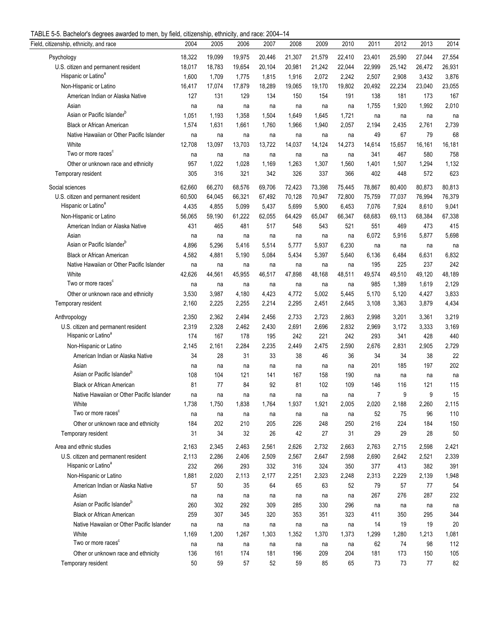| TABLE 5-5. Bachelor's degrees awarded to men, by field, citizenship, ethnicity, and race: 2004-14 |  |  |  |
|---------------------------------------------------------------------------------------------------|--|--|--|
|                                                                                                   |  |  |  |

| $\sigma$ or Badrian cracking and about the mon, by noid, diazonomp, diminuity, and radd. Zoo r<br>Field, citizenship, ethnicity, and race | 2004   | 2005   | 2006   | 2007   | 2008   | 2009   | 2010   | 2011   | 2012   | 2013   | 2014   |
|-------------------------------------------------------------------------------------------------------------------------------------------|--------|--------|--------|--------|--------|--------|--------|--------|--------|--------|--------|
| Psychology                                                                                                                                | 18,322 | 19,099 | 19,975 | 20,446 | 21,307 | 21,579 | 22,410 | 23,401 | 25,590 | 27,044 | 27,554 |
| U.S. citizen and permanent resident                                                                                                       | 18,017 | 18,783 | 19,654 | 20,104 | 20,981 | 21,242 | 22,044 | 22,999 | 25,142 | 26,472 | 26,931 |
| Hispanic or Latino <sup>a</sup>                                                                                                           | 1,600  | 1,709  | 1,775  | 1,815  | 1,916  | 2,072  | 2,242  | 2,507  | 2,908  | 3,432  | 3,876  |
| Non-Hispanic or Latino                                                                                                                    | 16,417 | 17,074 | 17,879 | 18,289 | 19,065 | 19,170 | 19,802 | 20,492 | 22,234 | 23,040 | 23,055 |
| American Indian or Alaska Native                                                                                                          | 127    | 131    | 129    | 134    | 150    | 154    | 191    | 138    | 181    | 173    | 167    |
| Asian                                                                                                                                     | na     | na     | na     | na     | na     | na     | na     | 1,755  | 1,920  | 1,992  | 2,010  |
| Asian or Pacific Islander <sup>b</sup>                                                                                                    | 1,051  | 1,193  | 1,358  | 1,504  | 1,649  | 1,645  | 1,721  | na     | na     | na     | na     |
| <b>Black or African American</b>                                                                                                          | 1,574  | 1,631  | 1,661  | 1,760  | 1,966  | 1,940  | 2,057  | 2,194  | 2,435  | 2,761  | 2,739  |
| Native Hawaiian or Other Pacific Islander                                                                                                 | na     | na     | na     | na     | na     | na     | na     | 49     | 67     | 79     | 68     |
| White                                                                                                                                     | 12,708 | 13,097 | 13,703 | 13,722 | 14,037 | 14,124 | 14,273 | 14,614 | 15,657 | 16,161 | 16,181 |
| Two or more races <sup>c</sup>                                                                                                            | na     | na     | na     | na     | na     | na     | na     | 341    | 467    | 580    | 758    |
| Other or unknown race and ethnicity                                                                                                       | 957    | 1,022  | 1,028  | 1,169  | 1,263  | 1,307  | 1,560  | 1,401  | 1,507  | 1,294  | 1,132  |
| Temporary resident                                                                                                                        | 305    | 316    | 321    | 342    | 326    | 337    | 366    | 402    | 448    | 572    | 623    |
|                                                                                                                                           |        |        |        |        |        |        |        |        |        |        |        |
| Social sciences                                                                                                                           | 62,660 | 66,270 | 68,576 | 69,706 | 72,423 | 73,398 | 75,445 | 78,867 | 80,400 | 80,873 | 80,813 |
| U.S. citizen and permanent resident                                                                                                       | 60,500 | 64,045 | 66,321 | 67,492 | 70,128 | 70,947 | 72,800 | 75,759 | 77,037 | 76,994 | 76,379 |
| Hispanic or Latino <sup>a</sup>                                                                                                           | 4,435  | 4,855  | 5,099  | 5,437  | 5,699  | 5,900  | 6,453  | 7,076  | 7,924  | 8,610  | 9,041  |
| Non-Hispanic or Latino                                                                                                                    | 56,065 | 59,190 | 61,222 | 62,055 | 64,429 | 65,047 | 66,347 | 68,683 | 69,113 | 68,384 | 67,338 |
| American Indian or Alaska Native                                                                                                          | 431    | 465    | 481    | 517    | 548    | 543    | 521    | 551    | 469    | 473    | 415    |
| Asian                                                                                                                                     | na     | na     | na     | na     | na     | na     | na     | 6,072  | 5,916  | 5,877  | 5,698  |
| Asian or Pacific Islander <sup>b</sup>                                                                                                    | 4,896  | 5,296  | 5,416  | 5,514  | 5,777  | 5,937  | 6,230  | na     | na     | na     | na     |
| <b>Black or African American</b>                                                                                                          | 4,582  | 4,881  | 5,190  | 5,084  | 5,434  | 5,397  | 5,640  | 6,136  | 6,484  | 6,631  | 6,832  |
| Native Hawaiian or Other Pacific Islander                                                                                                 | na     | na     | na     | na     | na     | na     | na     | 195    | 225    | 237    | 242    |
| White                                                                                                                                     | 42,626 | 44,561 | 45,955 | 46,517 | 47,898 | 48,168 | 48,511 | 49,574 | 49,510 | 49,120 | 48,189 |
| Two or more races <sup>c</sup>                                                                                                            | na     | na     | na     | na     | na     | na     | na     | 985    | 1,389  | 1,619  | 2,129  |
| Other or unknown race and ethnicity                                                                                                       | 3,530  | 3,987  | 4,180  | 4,423  | 4,772  | 5,002  | 5,445  | 5,170  | 5,120  | 4,427  | 3,833  |
| Temporary resident                                                                                                                        | 2,160  | 2,225  | 2,255  | 2,214  | 2,295  | 2,451  | 2,645  | 3,108  | 3,363  | 3,879  | 4,434  |
| Anthropology                                                                                                                              | 2,350  | 2,362  | 2,494  | 2,456  | 2,733  | 2,723  | 2,863  | 2,998  | 3,201  | 3,361  | 3,219  |
| U.S. citizen and permanent resident                                                                                                       | 2,319  | 2,328  | 2,462  | 2,430  | 2,691  | 2,696  | 2,832  | 2,969  | 3,172  | 3,333  | 3,169  |
| Hispanic or Latino <sup>a</sup>                                                                                                           | 174    | 167    | 178    | 195    | 242    | 221    | 242    | 293    | 341    | 428    | 440    |
| Non-Hispanic or Latino                                                                                                                    | 2,145  | 2,161  | 2,284  | 2,235  | 2,449  | 2,475  | 2,590  | 2,676  | 2,831  | 2,905  | 2,729  |
| American Indian or Alaska Native                                                                                                          | 34     | 28     | 31     | 33     | 38     | 46     | 36     | 34     | 34     | 38     | 22     |
| Asian                                                                                                                                     | na     | na     | na     | na     | na     | na     | na     | 201    | 185    | 197    | 202    |
| Asian or Pacific Islander <sup>b</sup>                                                                                                    | 108    | 104    | 121    | 141    | 167    | 158    | 190    | na     | na     | na     | na     |
| <b>Black or African American</b>                                                                                                          | 81     | 77     | 84     | 92     | 81     | 102    | 109    | 146    | 116    | 121    | 115    |
| Native Hawaiian or Other Pacific Islander                                                                                                 | na     | na     | na     | na     | na     | na     | na     | 7      | 9      | 9      | 15     |
| White                                                                                                                                     | 1,738  | 1,750  | 1,838  | 1,764  | 1,937  | 1,921  | 2,005  | 2,020  | 2,188  | 2,260  | 2,115  |
| Two or more races <sup>c</sup>                                                                                                            | na     | na     | na     | na     | na     | na     | na     | 52     | 75     | 96     | 110    |
| Other or unknown race and ethnicity                                                                                                       | 184    | 202    | 210    | 205    | 226    | 248    | 250    | 216    | 224    | 184    | 150    |
| Temporary resident                                                                                                                        | 31     | 34     | 32     | 26     | 42     | 27     | 31     | 29     | 29     | 28     | 50     |
| Area and ethnic studies                                                                                                                   | 2,163  | 2,345  | 2,463  | 2,561  | 2,626  | 2,732  | 2,663  | 2,763  | 2,715  | 2,598  | 2,421  |
| U.S. citizen and permanent resident                                                                                                       | 2,113  | 2,286  | 2,406  | 2,509  | 2,567  | 2,647  | 2,598  | 2,690  | 2,642  | 2,521  | 2,339  |
| Hispanic or Latino <sup>a</sup>                                                                                                           | 232    | 266    | 293    | 332    | 316    | 324    | 350    | 377    | 413    | 382    | 391    |
| Non-Hispanic or Latino                                                                                                                    | 1,881  | 2,020  | 2,113  | 2,177  | 2,251  | 2,323  | 2,248  | 2,313  | 2,229  | 2,139  | 1,948  |
| American Indian or Alaska Native                                                                                                          | 57     | 50     | 35     | 64     | 65     | 63     | 52     | 79     | 57     | 77     | 54     |
| Asian                                                                                                                                     | na     | na     | na     | na     | na     | na     | na     | 267    | 276    | 287    | 232    |
| Asian or Pacific Islander <sup>b</sup>                                                                                                    | 260    | 302    | 292    | 309    | 285    | 330    | 296    | na     | na     | na     | na     |
| <b>Black or African American</b>                                                                                                          | 259    | 307    | 345    | 320    | 353    | 351    | 323    | 411    | 350    | 295    | 344    |
| Native Hawaiian or Other Pacific Islander                                                                                                 | na     | na     | na     | na     | na     | na     | na     | 14     | 19     | 19     | 20     |
| White                                                                                                                                     | 1,169  | 1,200  | 1,267  | 1,303  | 1,352  | 1,370  | 1,373  | 1,299  | 1,280  | 1,213  | 1,081  |
| Two or more races <sup>c</sup>                                                                                                            | na     | na     | na     | na     | na     | na     | na     | 62     | 74     | 98     | 112    |
| Other or unknown race and ethnicity                                                                                                       | 136    | 161    | 174    | 181    | 196    | 209    | 204    | 181    | 173    | 150    | 105    |
| Temporary resident                                                                                                                        | 50     | 59     | 57     | 52     | 59     | 85     | 65     | 73     | 73     | 77     | 82     |
|                                                                                                                                           |        |        |        |        |        |        |        |        |        |        |        |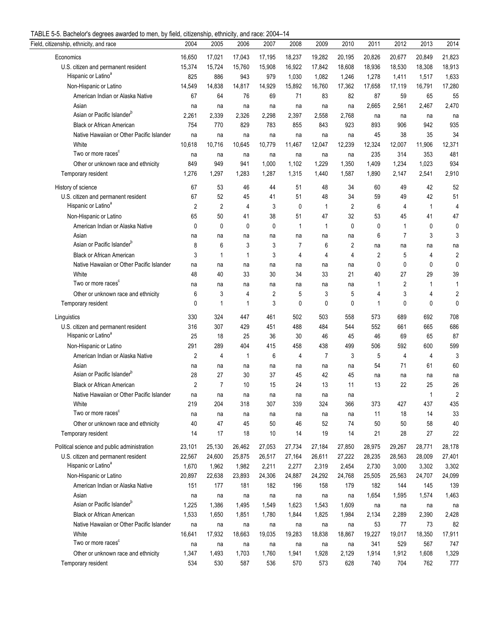| TABLE 5-5. Bachelor's degrees awarded to men, by field, citizenship, ethnicity, and race: 2004-14 |  |  |  |  |
|---------------------------------------------------------------------------------------------------|--|--|--|--|
|                                                                                                   |  |  |  |  |

| o. Daonoror o aog<br>Field, citizenship, ethnicity, and race           | 2004           | 2005           | $\mathbf{v}$<br>2006 | $-000 - 1000$<br>2007 | 2008           | 2009           | 2010           | 2011    | 2012           | 2013         | 2014           |
|------------------------------------------------------------------------|----------------|----------------|----------------------|-----------------------|----------------|----------------|----------------|---------|----------------|--------------|----------------|
| Economics                                                              | 16,650         | 17,021         | 17,043               | 17,195                | 18,237         | 19,282         | 20,195         | 20,826  | 20,677         | 20,849       | 21,823         |
| U.S. citizen and permanent resident                                    | 15,374         | 15,724         | 15,760               | 15,908                | 16,922         | 17,842         | 18,608         | 18,936  | 18,530         | 18,308       | 18,913         |
| Hispanic or Latino <sup>a</sup>                                        | 825            | 886            | 943                  | 979                   | 1,030          | 1,082          | 1,246          | 1,278   | 1,411          | 1,517        | 1,633          |
| Non-Hispanic or Latino                                                 | 14,549         | 14,838         | 14,817               | 14,929                | 15,892         | 16,760         | 17,362         | 17,658  | 17,119         | 16,791       | 17,280         |
| American Indian or Alaska Native                                       | 67             | 64             | 76                   | 69                    | 71             | 83             | 82             | 87      | 59             | 65           | 55             |
| Asian                                                                  | na             | na             | na                   | na                    | na             | na             | na             | 2,665   | 2,561          | 2,467        | 2,470          |
| Asian or Pacific Islander <sup>b</sup>                                 | 2,261          | 2,339          | 2,326                | 2,298                 | 2,397          | 2,558          | 2,768          | na      | na             | na           | na             |
| <b>Black or African American</b>                                       | 754            | 770            | 829                  | 783                   | 855            | 843            | 923            | 893     | 906            | 942          | 935            |
| Native Hawaiian or Other Pacific Islander                              | na             | na             | na                   | na                    | na             | na             | na             | 45      | 38             | 35           | 34             |
| White                                                                  | 10,618         | 10,716         | 10,645               | 10,779                | 11,467         | 12,047         | 12,239         | 12,324  | 12,007         | 11,906       | 12,371         |
| Two or more races <sup>c</sup>                                         | na             | na             | na                   | na                    | na             | na             | na             | 235     | 314            | 353          | 481            |
| Other or unknown race and ethnicity                                    | 849            | 949            | 941                  | 1,000                 | 1,102          | 1,229          | 1,350          | 1,409   | 1,234          | 1,023        | 934            |
| Temporary resident                                                     | 1,276          | 1,297          | 1,283                | 1,287                 | 1,315          | 1,440          | 1,587          | 1,890   | 2,147          | 2,541        | 2,910          |
| History of science                                                     | 67             | 53             | 46                   | 44                    | 51             | 48             | 34             | 60      | 49             | 42           | 52             |
|                                                                        | 67             | 52             | 45                   | 41                    | 51             | 48             | 34             |         | 49             | 42           | 51             |
| U.S. citizen and permanent resident<br>Hispanic or Latino <sup>a</sup> | $\overline{2}$ | $\overline{2}$ | 4                    | 3                     | 0              | $\mathbf{1}$   | $\overline{2}$ | 59<br>6 | 4              | $\mathbf{1}$ | $\overline{4}$ |
|                                                                        |                | 50             | 41                   |                       | 51             | 47             | 32             |         | 45             | 41           | 47             |
| Non-Hispanic or Latino                                                 | 65             |                |                      | 38                    |                |                |                | 53      |                |              |                |
| American Indian or Alaska Native                                       | 0              | $\mathbf 0$    | 0                    | 0                     | $\mathbf{1}$   | $\mathbf{1}$   | $\mathbf{0}$   | 0       | 1              | 0            | 0              |
| Asian<br>Asian or Pacific Islander <sup>b</sup>                        | na             | na             | na                   | na                    | na             | na             | na             | 6       | $\overline{7}$ | 3            | 3              |
|                                                                        | 8              | 6              | 3                    | 3                     | 7              | 6              | 2              | na      | na             | na           | na             |
| <b>Black or African American</b>                                       | 3              | 1              | $\mathbf{1}$         | 3                     | $\overline{4}$ | 4              | 4              | 2       | 5              | 4            | $\overline{c}$ |
| Native Hawaiian or Other Pacific Islander                              | na             | na             | na                   | na                    | na             | na             | na             | 0       | 0              | 0            | 0              |
| White                                                                  | 48             | 40             | 33                   | 30                    | 34             | 33             | 21             | 40      | 27             | 29           | 39             |
| Two or more races <sup>c</sup>                                         | na             | na             | na                   | na                    | na             | na             | na             | 1       | 2              | $\mathbf{1}$ | 1              |
| Other or unknown race and ethnicity                                    | 6              | 3              | 4                    | 2                     | 5              | 3              | 5              | 4       | 3              | 4            | 2              |
| Temporary resident                                                     | $\mathbf{0}$   | 1              | 1                    | 3                     | 0              | $\mathbf{0}$   | $\mathbf{0}$   | 1       | $\mathbf{0}$   | 0            | $\mathbf{0}$   |
| Linguistics                                                            | 330            | 324            | 447                  | 461                   | 502            | 503            | 558            | 573     | 689            | 692          | 708            |
| U.S. citizen and permanent resident                                    | 316            | 307            | 429                  | 451                   | 488            | 484            | 544            | 552     | 661            | 665          | 686            |
| Hispanic or Latino <sup>a</sup>                                        | 25             | 18             | 25                   | 36                    | 30             | 46             | 45             | 46      | 69             | 65           | 87             |
| Non-Hispanic or Latino                                                 | 291            | 289            | 404                  | 415                   | 458            | 438            | 499            | 506     | 592            | 600          | 599            |
| American Indian or Alaska Native                                       | $\overline{2}$ | 4              | $\mathbf{1}$         | 6                     | 4              | $\overline{7}$ | 3              | 5       | $\overline{4}$ | 4            | 3              |
| Asian                                                                  | na             | na             | na                   | na                    | na             | na             | na             | 54      | 71             | 61           | 60             |
| Asian or Pacific Islander <sup>b</sup>                                 | 28             | 27             | 30                   | 37                    | 45             | 42             | 45             | na      | na             | na           | na             |
| <b>Black or African American</b>                                       | $\overline{2}$ | $\overline{7}$ | 10                   | 15                    | 24             | 13             | 11             | 13      | 22             | 25           | 26             |
| Native Hawaiian or Other Pacific Islander                              | na             | na             | na                   | na                    | na             | na             | na             |         |                | -1           | $\overline{2}$ |
| White                                                                  | 219            | 204            | 318                  | 307                   | 339            | 324            | 366            | 373     | 427            | 437          | 435            |
| Two or more races                                                      | na             | na             | na                   | na                    | na             | na             | na             | 11      | 18             | 14           | 33             |
| Other or unknown race and ethnicity                                    | 40             | 47             | 45                   | 50                    | 46             | 52             | 74             | 50      | 50             | 58           | 40             |
| Temporary resident                                                     | 14             | 17             | 18                   | 10                    | 14             | 19             | 14             | 21      | 28             | 27           | 22             |
| Political science and public administration                            | 23,101         | 25,130         | 26,462               | 27,053                | 27,734         | 27,184         | 27,850         | 28,975  | 29,267         | 28,771       | 28,178         |
| U.S. citizen and permanent resident                                    | 22,567         | 24,600         | 25,875               | 26,517                | 27,164         | 26,611         | 27,222         | 28,235  | 28,563         | 28,009       | 27,401         |
| Hispanic or Latino <sup>a</sup>                                        | 1,670          | 1,962          | 1,982                | 2,211                 | 2,277          | 2,319          | 2,454          | 2,730   | 3,000          | 3,302        | 3,302          |
| Non-Hispanic or Latino                                                 | 20,897         | 22,638         | 23,893               | 24,306                | 24,887         | 24,292         | 24,768         | 25,505  | 25,563         | 24,707       | 24,099         |
| American Indian or Alaska Native                                       | 151            | 177            | 181                  | 182                   | 196            | 158            | 179            | 182     | 144            | 145          | 139            |
| Asian                                                                  | na             | na             | na                   | na                    | na             | na             | na             | 1,654   | 1,595          | 1,574        | 1,463          |
| Asian or Pacific Islander <sup>b</sup>                                 | 1,225          | 1,386          | 1,495                | 1,549                 | 1,623          | 1,543          | 1,609          | na      | na             | na           | na             |
| <b>Black or African American</b>                                       | 1,533          | 1,650          | 1,851                | 1,780                 | 1,844          | 1,825          | 1,984          | 2,134   | 2,289          | 2,390        | 2,428          |
| Native Hawaiian or Other Pacific Islander                              | na             | na             | na                   | na                    | na             | na             | na             | 53      | 77             | 73           | 82             |
| White                                                                  | 16,641         | 17,932         | 18,663               | 19,035                | 19,283         | 18,838         | 18,867         | 19,227  | 19,017         | 18,350       | 17,911         |
| Two or more races <sup>c</sup>                                         | na             | na             | na                   | na                    | na             | na             | na             | 341     | 529            | 567          | 747            |
| Other or unknown race and ethnicity                                    | 1,347          | 1,493          | 1,703                | 1,760                 | 1,941          | 1,928          | 2,129          | 1,914   | 1,912          | 1,608        | 1,329          |
| Temporary resident                                                     | 534            | 530            | 587                  | 536                   | 570            | 573            | 628            | 740     | 704            | 762          | 777            |
|                                                                        |                |                |                      |                       |                |                |                |         |                |              |                |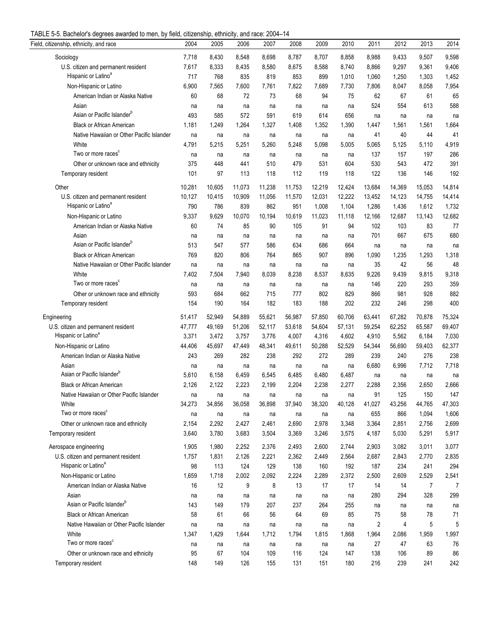| TABLE 5-5. Bachelor's degrees awarded to men, by field, citizenship, ethnicity, and race: 2004-14 |  |  |  |  |
|---------------------------------------------------------------------------------------------------|--|--|--|--|
|                                                                                                   |  |  |  |  |

| $\sigma$ of Baonoioi o abgrood awardod to mon, by noia, onizonomp, omnony, and rado. 200 i<br>Field, citizenship, ethnicity, and race | 2004   | 2005   | 2006   | 2007   | 2008   | 2009   | 2010   | 2011   | 2012   | 2013           | 2014           |
|---------------------------------------------------------------------------------------------------------------------------------------|--------|--------|--------|--------|--------|--------|--------|--------|--------|----------------|----------------|
| Sociology                                                                                                                             | 7,718  | 8,430  | 8,548  | 8,698  | 8,787  | 8,707  | 8,858  | 8,988  | 9,433  | 9,507          | 9,598          |
| U.S. citizen and permanent resident                                                                                                   | 7,617  | 8,333  | 8,435  | 8,580  | 8,675  | 8,588  | 8,740  | 8,866  | 9,297  | 9,361          | 9,406          |
| Hispanic or Latino <sup>a</sup>                                                                                                       | 717    | 768    | 835    | 819    | 853    | 899    | 1,010  | 1,060  | 1,250  | 1,303          | 1,452          |
| Non-Hispanic or Latino                                                                                                                | 6,900  | 7,565  | 7,600  | 7,761  | 7,822  | 7,689  | 7,730  | 7,806  | 8,047  | 8,058          | 7,954          |
| American Indian or Alaska Native                                                                                                      | 60     | 68     | 72     | 73     | 68     | 94     | 75     | 62     | 67     | 61             | 65             |
| Asian                                                                                                                                 | na     | na     | na     | na     | na     | na     | na     | 524    | 554    | 613            | 588            |
| Asian or Pacific Islander <sup>b</sup>                                                                                                | 493    | 585    | 572    | 591    | 619    | 614    | 656    | na     | na     | na             | na             |
| <b>Black or African American</b>                                                                                                      | 1,181  | 1,249  | 1,264  | 1,327  | 1,408  | 1,352  | 1,390  | 1,447  | 1,561  | 1,561          | 1,664          |
| Native Hawaiian or Other Pacific Islander                                                                                             | na     | na     | na     | na     | na     | na     | na     | 41     | 40     | 44             | 41             |
| White                                                                                                                                 | 4,791  | 5,215  | 5,251  | 5,260  | 5,248  | 5,098  | 5,005  | 5,065  | 5,125  | 5,110          | 4,919          |
| Two or more races <sup>c</sup>                                                                                                        | na     | na     | na     | na     | na     | na     | na     | 137    | 157    | 197            | 286            |
| Other or unknown race and ethnicity                                                                                                   | 375    | 448    | 441    | 510    | 479    | 531    | 604    | 530    | 543    | 472            | 391            |
| Temporary resident                                                                                                                    | 101    | 97     | 113    | 118    | 112    | 119    | 118    | 122    | 136    | 146            | 192            |
|                                                                                                                                       |        |        |        |        |        |        |        |        |        |                |                |
| Other                                                                                                                                 | 10,281 | 10,605 | 11,073 | 11,238 | 11,753 | 12,219 | 12,424 | 13,684 | 14,369 | 15,053         | 14,814         |
| U.S. citizen and permanent resident                                                                                                   | 10,127 | 10,415 | 10,909 | 11,056 | 11,570 | 12,031 | 12,222 | 13,452 | 14,123 | 14,755         | 14,414         |
| Hispanic or Latino <sup>a</sup>                                                                                                       | 790    | 786    | 839    | 862    | 951    | 1,008  | 1,104  | 1,286  | 1,436  | 1,612          | 1,732          |
| Non-Hispanic or Latino                                                                                                                | 9,337  | 9,629  | 10,070 | 10,194 | 10,619 | 11,023 | 11,118 | 12,166 | 12,687 | 13,143         | 12,682         |
| American Indian or Alaska Native                                                                                                      | 60     | 74     | 85     | 90     | 105    | 91     | 94     | 102    | 103    | 83             | 77             |
| Asian                                                                                                                                 | na     | na     | na     | na     | na     | na     | na     | 701    | 667    | 675            | 680            |
| Asian or Pacific Islander <sup>b</sup>                                                                                                | 513    | 547    | 577    | 586    | 634    | 686    | 664    | na     | na     | na             | na             |
| <b>Black or African American</b>                                                                                                      | 769    | 820    | 806    | 764    | 865    | 907    | 896    | 1,090  | 1,235  | 1,293          | 1,318          |
| Native Hawaiian or Other Pacific Islander                                                                                             | na     | na     | na     | na     | na     | na     | na     | 35     | 42     | 56             | 48             |
| White                                                                                                                                 | 7,402  | 7,504  | 7,940  | 8,039  | 8,238  | 8,537  | 8,635  | 9,226  | 9,439  | 9,815          | 9,318          |
| Two or more races <sup>c</sup>                                                                                                        | na     | na     | na     | na     | na     | na     | na     | 146    | 220    | 293            | 359            |
| Other or unknown race and ethnicity                                                                                                   | 593    | 684    | 662    | 715    | 777    | 802    | 829    | 866    | 981    | 928            | 882            |
| Temporary resident                                                                                                                    | 154    | 190    | 164    | 182    | 183    | 188    | 202    | 232    | 246    | 298            | 400            |
| Engineering                                                                                                                           | 51,417 | 52,949 | 54,889 | 55,621 | 56,987 | 57,850 | 60,706 | 63,441 | 67,282 | 70,878         | 75,324         |
| U.S. citizen and permanent resident                                                                                                   | 47,777 | 49,169 | 51,206 | 52,117 | 53,618 | 54,604 | 57,131 | 59,254 | 62,252 | 65,587         | 69,407         |
| Hispanic or Latino <sup>a</sup>                                                                                                       | 3,371  | 3,472  | 3,757  | 3,776  | 4,007  | 4,316  | 4,602  | 4,910  | 5,562  | 6,184          | 7,030          |
| Non-Hispanic or Latino                                                                                                                | 44,406 | 45,697 | 47,449 | 48,341 | 49,611 | 50,288 | 52,529 | 54,344 | 56,690 | 59,403         | 62,377         |
| American Indian or Alaska Native                                                                                                      | 243    | 269    | 282    | 238    | 292    | 272    | 289    | 239    | 240    | 276            | 238            |
| Asian                                                                                                                                 | na     | na     | na     | na     | na     | na     | na     | 6,680  | 6,996  | 7,712          | 7,718          |
| Asian or Pacific Islander <sup>b</sup>                                                                                                | 5,610  | 6,158  | 6,459  | 6,545  | 6,485  | 6,480  | 6,487  | na     | na     | na             | na             |
| <b>Black or African American</b>                                                                                                      | 2,126  | 2,122  | 2,223  | 2,199  | 2,204  | 2,238  | 2,277  | 2,288  | 2,356  | 2,650          | 2,666          |
| Native Hawaiian or Other Pacific Islander                                                                                             | na     | na     | na     | na     | na     | na     | na     | 91     | 125    | 150            | 147            |
| White                                                                                                                                 | 34,273 | 34,856 | 36,058 | 36,898 | 37,940 | 38,320 | 40,128 | 41,027 | 43,256 | 44,765         | 47,303         |
| Two or more races <sup>c</sup>                                                                                                        | na     | na     | na     | na     | na     | na     | na     | 655    | 866    | 1,094          | 1,606          |
| Other or unknown race and ethnicity                                                                                                   | 2,154  | 2,292  | 2,427  | 2,461  | 2,690  | 2,978  | 3,348  | 3,364  | 2,851  | 2,756          | 2,699          |
| Temporary resident                                                                                                                    | 3,640  | 3,780  | 3,683  | 3,504  | 3,369  | 3,246  | 3,575  | 4,187  | 5,030  | 5,291          | 5,917          |
| Aerospace engineering                                                                                                                 | 1,905  | 1,980  | 2,252  | 2,376  | 2,493  | 2,600  | 2,744  | 2,903  | 3,082  | 3,011          | 3,077          |
| U.S. citizen and permanent resident                                                                                                   | 1,757  | 1,831  | 2,126  | 2,221  | 2,362  | 2,449  | 2,564  | 2,687  | 2,843  | 2,770          | 2,835          |
| Hispanic or Latino <sup>a</sup>                                                                                                       | 98     | 113    | 124    | 129    | 138    | 160    | 192    | 187    | 234    | 241            | 294            |
| Non-Hispanic or Latino                                                                                                                | 1,659  | 1,718  | 2,002  | 2,092  | 2,224  | 2,289  | 2,372  | 2,500  | 2,609  | 2,529          | 2,541          |
| American Indian or Alaska Native                                                                                                      | 16     | 12     | 9      | 8      | 13     | 17     | 17     | 14     | 14     | $\overline{7}$ | $\overline{7}$ |
| Asian                                                                                                                                 | na     | na     | na     | na     | na     | na     | na     | 280    | 294    | 328            | 299            |
| Asian or Pacific Islander <sup>b</sup>                                                                                                | 143    | 149    | 179    | 207    | 237    | 264    | 255    | na     | na     | na             | na             |
| <b>Black or African American</b>                                                                                                      | 58     | 61     | 66     | 56     | 64     | 69     | 85     | 75     | 58     | 78             | 71             |
| Native Hawaiian or Other Pacific Islander                                                                                             | na     | na     | na     | na     | na     | na     | na     | 2      | 4      | 5              | 5              |
| White                                                                                                                                 | 1,347  | 1,429  | 1,644  | 1,712  | 1,794  | 1,815  | 1,868  | 1,964  | 2,086  | 1,959          | 1,997          |
| Two or more races <sup>c</sup>                                                                                                        | na     | na     | na     | na     | na     | na     | na     | 27     | 47     | 63             | 76             |
| Other or unknown race and ethnicity                                                                                                   | 95     | 67     | 104    | 109    | 116    | 124    | 147    | 138    | 106    | 89             | 86             |
| Temporary resident                                                                                                                    | 148    | 149    | 126    | 155    | 131    | 151    | 180    | 216    | 239    | 241            | 242            |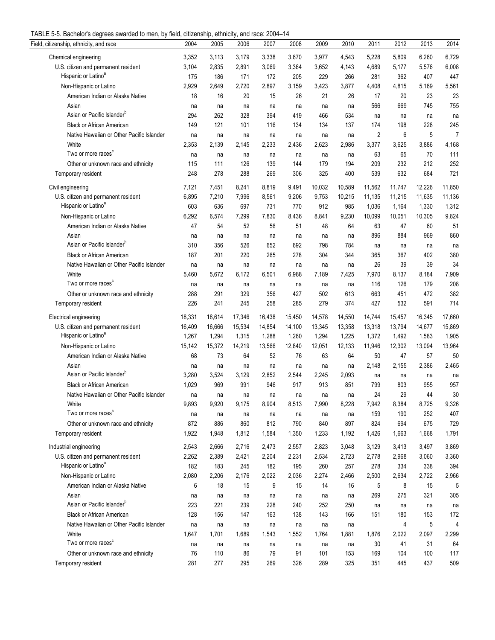| TABLE 5-5. Bachelor's degrees awarded to men, by field, citizenship, ethnicity, and race: 2004-14 |  |  |  |
|---------------------------------------------------------------------------------------------------|--|--|--|
|                                                                                                   |  |  |  |

| Field, citizenship, ethnicity, and race   | 2004      | 2005      | uu<br>2006  | 2007        | 2008      | 2009        | 2010      | 2011   | 2012   | 2013   | 2014   |
|-------------------------------------------|-----------|-----------|-------------|-------------|-----------|-------------|-----------|--------|--------|--------|--------|
| Chemical engineering                      | 3,352     | 3,113     | 3,179       | 3,338       | 3,670     | 3,977       | 4,543     | 5,228  | 5,809  | 6,260  | 6,729  |
| U.S. citizen and permanent resident       | 3,104     | 2,835     | 2,891       | 3,069       | 3,364     | 3,652       | 4,143     | 4,689  | 5,177  | 5,576  | 6,008  |
| Hispanic or Latino <sup>a</sup>           | 175       | 186       | 171         | 172         | 205       | 229         | 266       | 281    | 362    | 407    | 447    |
| Non-Hispanic or Latino                    | 2,929     | 2,649     | 2,720       | 2,897       | 3,159     | 3,423       | 3,877     | 4,408  | 4,815  | 5,169  | 5,561  |
| American Indian or Alaska Native          | 18        | 16        | 20          | 15          | 26        | 21          | 26        | 17     | 20     | 23     | 23     |
| Asian                                     | na        | na        | na          | na          | na        | na          | na        | 566    | 669    | 745    | 755    |
| Asian or Pacific Islander <sup>b</sup>    | 294       | 262       | 328         | 394         | 419       | 466         | 534       | na     | na     | na     | na     |
| <b>Black or African American</b>          | 149       | 121       | 101         | 116         | 134       | 134         | 137       | 174    | 198    | 228    | 245    |
| Native Hawaiian or Other Pacific Islander | na        | na        |             |             | na        |             | na        | 2      | 6      | 5      | 7      |
| White                                     | 2,353     | 2,139     | na<br>2,145 | na<br>2,233 | 2,436     | na<br>2,623 | 2,986     | 3,377  | 3,625  | 3,886  | 4,168  |
| Two or more races <sup>c</sup>            |           |           |             |             |           |             |           | 63     | 65     | 70     | 111    |
| Other or unknown race and ethnicity       | na<br>115 | na<br>111 | na<br>126   | na<br>139   | na<br>144 | na<br>179   | na<br>194 | 209    | 232    | 212    | 252    |
|                                           | 248       | 278       | 288         | 269         | 306       | 325         | 400       | 539    | 632    | 684    | 721    |
| Temporary resident                        |           |           |             |             |           |             |           |        |        |        |        |
| Civil engineering                         | 7,121     | 7,451     | 8,241       | 8,819       | 9,491     | 10,032      | 10,589    | 11,562 | 11,747 | 12,226 | 11,850 |
| U.S. citizen and permanent resident       | 6,895     | 7,210     | 7,996       | 8,561       | 9,206     | 9,753       | 10,215    | 11,135 | 11,215 | 11,635 | 11,136 |
| Hispanic or Latino <sup>a</sup>           | 603       | 636       | 697         | 731         | 770       | 912         | 985       | 1,036  | 1,164  | 1,330  | 1,312  |
| Non-Hispanic or Latino                    | 6,292     | 6,574     | 7,299       | 7,830       | 8,436     | 8,841       | 9,230     | 10,099 | 10,051 | 10,305 | 9,824  |
| American Indian or Alaska Native          | 47        | 54        | 52          | 56          | 51        | 48          | 64        | 63     | 47     | 60     | 51     |
| Asian                                     | na        | na        | na          | na          | na        | na          | na        | 896    | 884    | 969    | 860    |
| Asian or Pacific Islander <sup>b</sup>    | 310       | 356       | 526         | 652         | 692       | 798         | 784       | na     | na     | na     | na     |
| <b>Black or African American</b>          | 187       | 201       | 220         | 265         | 278       | 304         | 344       | 365    | 367    | 402    | 380    |
| Native Hawaiian or Other Pacific Islander | na        | na        | na          | na          | na        | na          | na        | 26     | 39     | 39     | 34     |
| White                                     | 5,460     | 5,672     | 6,172       | 6,501       | 6,988     | 7,189       | 7,425     | 7,970  | 8,137  | 8,184  | 7,909  |
| Two or more races <sup>c</sup>            | na        | na        | na          | na          | na        | na          | na        | 116    | 126    | 179    | 208    |
| Other or unknown race and ethnicity       | 288       | 291       | 329         | 356         | 427       | 502         | 613       | 663    | 451    | 472    | 382    |
| Temporary resident                        | 226       | 241       | 245         | 258         | 285       | 279         | 374       | 427    | 532    | 591    | 714    |
| Electrical engineering                    | 18,331    | 18,614    | 17,346      | 16,438      | 15,450    | 14,578      | 14,550    | 14,744 | 15,457 | 16,345 | 17,660 |
| U.S. citizen and permanent resident       | 16,409    | 16,666    | 15,534      | 14,854      | 14,100    | 13,345      | 13,358    | 13,318 | 13,794 | 14,677 | 15,869 |
| Hispanic or Latino <sup>a</sup>           | 1,267     | 1,294     | 1,315       | 1,288       | 1,260     | 1,294       | 1,225     | 1,372  | 1,492  | 1,583  | 1,905  |
| Non-Hispanic or Latino                    | 15,142    | 15,372    | 14,219      | 13,566      | 12,840    | 12,051      | 12,133    | 11,946 | 12,302 | 13,094 | 13,964 |
| American Indian or Alaska Native          | 68        | 73        | 64          | 52          | 76        | 63          | 64        | 50     | 47     | 57     | 50     |
| Asian                                     | na        | na        | na          | na          | na        | na          | na        | 2,148  | 2,155  | 2,386  | 2,465  |
| Asian or Pacific Islander <sup>b</sup>    | 3,280     | 3,524     | 3,129       | 2,852       | 2,544     | 2,245       | 2,093     | na     | na     | na     | na     |
| <b>Black or African American</b>          | 1,029     | 969       | 991         | 946         | 917       | 913         | 851       | 799    | 803    | 955    | 957    |
| Native Hawaiian or Other Pacific Islander | na        | na        | na          | na          | na        | na          | na        | 24     | 29     | 44     | 30     |
| White                                     | 9,893     | 9,920     | 9,175       | 8,904       | 8,513     | 7,990       | 8,228     | 7,942  | 8,384  | 8,725  | 9,326  |
| Two or more races                         | na        | na        | na          | na          | na        | na          | na        | 159    | 190    | 252    | 407    |
| Other or unknown race and ethnicity       | 872       | 886       | 860         | 812         | 790       | 840         | 897       | 824    | 694    | 675    | 729    |
| Temporary resident                        | 1,922     | 1,948     | 1,812       | 1,584       | 1,350     | 1,233       | 1,192     | 1,426  | 1,663  | 1,668  | 1,791  |
|                                           |           |           |             |             |           |             |           |        |        |        |        |
| Industrial engineering                    | 2,543     | 2,666     | 2,716       | 2,473       | 2,557     | 2,823       | 3,048     | 3,129  | 3,413  | 3,497  | 3,869  |
| U.S. citizen and permanent resident       | 2,262     | 2,389     | 2,421       | 2,204       | 2,231     | 2,534       | 2,723     | 2,778  | 2,968  | 3,060  | 3,360  |
| Hispanic or Latino <sup>a</sup>           | 182       | 183       | 245         | 182         | 195       | 260         | 257       | 278    | 334    | 338    | 394    |
| Non-Hispanic or Latino                    | 2,080     | 2,206     | 2,176       | 2,022       | 2,036     | 2,274       | 2,466     | 2,500  | 2,634  | 2,722  | 2,966  |
| American Indian or Alaska Native          | 6         | 18        | 15          | 9           | 15        | 14          | 16        | 5      | 8      | 15     | 5      |
| Asian                                     | na        | na        | na          | na          | na        | na          | na        | 269    | 275    | 321    | 305    |
| Asian or Pacific Islander <sup>b</sup>    | 223       | 221       | 239         | 228         | 240       | 252         | 250       | na     | na     | na     | na     |
| <b>Black or African American</b>          | 128       | 156       | 147         | 163         | 138       | 143         | 166       | 151    | 180    | 153    | 172    |
| Native Hawaiian or Other Pacific Islander | na        | na        | na          | na          | na        | na          | na        |        | 4      | 5      | 4      |
| White                                     | 1,647     | 1,701     | 1,689       | 1,543       | 1,552     | 1,764       | 1,881     | 1,876  | 2,022  | 2,097  | 2,299  |
| Two or more races <sup>c</sup>            | na        | na        | na          | na          | na        | na          | na        | 30     | 41     | 31     | 64     |
| Other or unknown race and ethnicity       | 76        | 110       | 86          | 79          | 91        | 101         | 153       | 169    | 104    | 100    | 117    |
| Temporary resident                        | 281       | 277       | 295         | 269         | 326       | 289         | 325       | 351    | 445    | 437    | 509    |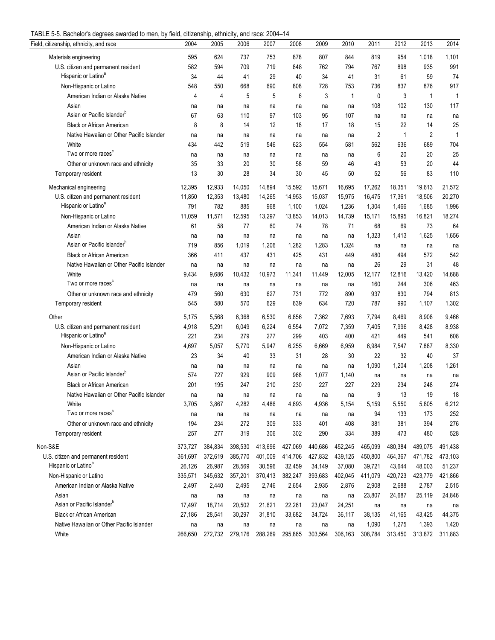| TABLE 5-5. Bachelor's degrees awarded to men, by field, citizenship, ethnicity, and race: 2004-14 |  |  |  |
|---------------------------------------------------------------------------------------------------|--|--|--|
|                                                                                                   |  |  |  |

| $\sigma$ of Badrian charged analyse to mon, by noid, diazonalip, dimindity, and radd. Zoo i<br>Field, citizenship, ethnicity, and race | 2004        | 2005        | 2006         | 2007         | 2008         | 2009         | 2010         | 2011      | 2012      | 2013           | 2014      |
|----------------------------------------------------------------------------------------------------------------------------------------|-------------|-------------|--------------|--------------|--------------|--------------|--------------|-----------|-----------|----------------|-----------|
| Materials engineering                                                                                                                  | 595         | 624         | 737          | 753          | 878          | 807          | 844          | 819       | 954       | 1,018          | 1,101     |
| U.S. citizen and permanent resident                                                                                                    | 582         | 594         | 709          | 719          | 848          | 762          | 794          | 767       | 898       | 935            | 991       |
| Hispanic or Latino <sup>a</sup>                                                                                                        | 34          | 44          | 41           | 29           | 40           | 34           | 41           | 31        | 61        | 59             | 74        |
| Non-Hispanic or Latino                                                                                                                 | 548         | 550         | 668          | 690          | 808          | 728          | 753          | 736       | 837       | 876            | 917       |
| American Indian or Alaska Native                                                                                                       | 4           | 4           | 5            | 5            | 6            | 3            | 1            | 0         | 3         | $\mathbf{1}$   | 1         |
| Asian                                                                                                                                  | na          | na          | na           | na           | na           | na           | na           | 108       | 102       | 130            | 117       |
| Asian or Pacific Islander <sup>b</sup>                                                                                                 | 67          | 63          | 110          | 97           | 103          | 95           | 107          | na        | na        | na             | na        |
| <b>Black or African American</b>                                                                                                       | 8           | 8           | 14           | 12           | 18           | 17           | 18           | 15        | 22        | 14             | 25        |
| Native Hawaiian or Other Pacific Islander                                                                                              | na          | na          | na           | na           | na           | na           | na           | 2         | 1         | $\overline{2}$ | 1         |
| White                                                                                                                                  | 434         | 442         | 519          | 546          | 623          | 554          | 581          | 562       | 636       | 689            | 704       |
| Two or more races <sup>c</sup>                                                                                                         | na          | na          | na           | na           | na           | na           | na           | 6         | 20        | 20             | 25        |
| Other or unknown race and ethnicity                                                                                                    | 35          | 33          | 20           | 30           | 58           | 59           | 46           | 43        | 53        | 20             | 44        |
| Temporary resident                                                                                                                     | 13          | 30          | 28           | 34           | 30           | 45           | 50           | 52        | 56        | 83             | 110       |
|                                                                                                                                        |             |             |              |              |              |              |              |           |           |                |           |
| Mechanical engineering                                                                                                                 | 12,395      | 12,933      | 14,050       | 14,894       | 15,592       | 15,671       | 16,695       | 17,262    | 18,351    | 19,613         | 21,572    |
| U.S. citizen and permanent resident<br>Hispanic or Latino <sup>a</sup>                                                                 | 11,850      | 12,353      | 13,480       | 14,265       | 14,953       | 15,037       | 15,975       | 16,475    | 17,361    | 18,506         | 20,270    |
|                                                                                                                                        | 791         | 782         | 885          | 968          | 1,100        | 1,024        | 1,236        | 1,304     | 1,466     | 1,685          | 1,996     |
| Non-Hispanic or Latino                                                                                                                 | 11,059      | 11,571      | 12,595       | 13,297       | 13,853       | 14,013       | 14,739       | 15,171    | 15,895    | 16,821         | 18,274    |
| American Indian or Alaska Native                                                                                                       | 61          | 58          | 77           | 60           | 74           | 78           | 71           | 68        | 69        | 73             | 64        |
| Asian<br>Asian or Pacific Islander <sup>b</sup>                                                                                        | na<br>719   | na<br>856   | na           | na           | na           | na           | na           | 1,323     | 1,413     | 1,625          | 1,656     |
| <b>Black or African American</b>                                                                                                       | 366         | 411         | 1,019        | 1,206<br>431 | 1,282<br>425 | 1,283        | 1,324<br>449 | na<br>480 | na<br>494 | na<br>572      | na<br>542 |
| Native Hawaiian or Other Pacific Islander                                                                                              |             |             | 437          |              |              | 431          |              | 26        | 29        | 31             | 48        |
| White                                                                                                                                  | na<br>9,434 | na<br>9,686 | na<br>10,432 | na<br>10,973 | na<br>11,341 | na<br>11,449 | na<br>12,005 | 12,177    | 12,816    | 13,420         | 14,688    |
| Two or more races <sup>c</sup>                                                                                                         |             |             |              |              |              |              | na           | 160       | 244       | 306            | 463       |
| Other or unknown race and ethnicity                                                                                                    | na<br>479   | na<br>560   | na<br>630    | na<br>627    | na<br>731    | na<br>772    | 890          | 937       | 830       | 794            | 813       |
| Temporary resident                                                                                                                     | 545         | 580         | 570          | 629          | 639          | 634          | 720          | 787       | 990       | 1,107          | 1,302     |
|                                                                                                                                        |             |             |              |              |              |              |              |           |           |                |           |
| Other                                                                                                                                  | 5,175       | 5,568       | 6,368        | 6,530        | 6,856        | 7,362        | 7,693        | 7,794     | 8,469     | 8,908          | 9,466     |
| U.S. citizen and permanent resident                                                                                                    | 4,918       | 5,291       | 6,049        | 6,224        | 6,554        | 7,072        | 7,359        | 7,405     | 7,996     | 8,428          | 8,938     |
| Hispanic or Latino <sup>a</sup>                                                                                                        | 221         | 234         | 279          | 277          | 299          | 403          | 400          | 421       | 449       | 541            | 608       |
| Non-Hispanic or Latino                                                                                                                 | 4,697       | 5,057       | 5,770        | 5,947        | 6,255        | 6,669        | 6,959        | 6,984     | 7,547     | 7,887          | 8,330     |
| American Indian or Alaska Native                                                                                                       | 23          | 34          | 40           | 33           | 31           | 28           | 30           | 22        | 32        | 40             | 37        |
| Asian                                                                                                                                  | na          | na          | na           | na           | na           | na           | na           | 1,090     | 1,204     | 1,208          | 1,261     |
| Asian or Pacific Islander <sup>b</sup>                                                                                                 | 574         | 727         | 929          | 909          | 968          | 1,077        | 1,140        | na        | na        | na             | na        |
| <b>Black or African American</b>                                                                                                       | 201         | 195         | 247          | 210          | 230          | 227          | 227          | 229       | 234       | 248            | 274       |
| Native Hawaiian or Other Pacific Islander                                                                                              | na          | na          | na           | na           | na           | na           | na           | 9         | 13        | 19             | 18        |
| White                                                                                                                                  | 3,705       | 3,867       | 4,282        | 4,486        | 4,693        | 4,936        | 5,154        | 5,159     | 5,550     | 5,805          | 6,212     |
| Two or more races <sup>c</sup>                                                                                                         | na          | na          | na           | na           | na           | na           | na           | 94        | 133       | 173            | 252       |
| Other or unknown race and ethnicity                                                                                                    | 194         | 234         | 272          | 309          | 333          | 401          | 408          | 381       | 381       | 394            | 276       |
| Temporary resident                                                                                                                     | 257         | 277         | 319          | 306          | 302          | 290          | 334          | 389       | 473       | 480            | 528       |
| Non-S&E                                                                                                                                | 373,727     | 384,834     | 398,530      | 413.696      | 427,069      | 440,686      | 452,245      | 465,099   | 480,384   | 489,075        | 491.438   |
| U.S. citizen and permanent resident                                                                                                    | 361,697     | 372,619     | 385,770      | 401,009      | 414,706      | 427,832      | 439,125      | 450,800   | 464,367   | 471,782        | 473,103   |
| Hispanic or Latino <sup>a</sup>                                                                                                        | 26,126      | 26,987      | 28,569       | 30,596       | 32,459       | 34,149       | 37,080       | 39,721    | 43,644    | 48,003         | 51,237    |
| Non-Hispanic or Latino                                                                                                                 | 335,571     | 345,632     | 357,201      | 370,413      | 382,247      | 393,683      | 402,045      | 411,079   | 420,723   | 423,779        | 421,866   |
| American Indian or Alaska Native                                                                                                       | 2,497       | 2,440       | 2,495        | 2,746        | 2,654        | 2,935        | 2,876        | 2,908     | 2,688     | 2,787          | 2,515     |
| Asian                                                                                                                                  | na          | na          | na           | na           | na           | na           | na           | 23,807    | 24,687    | 25,119         | 24,846    |
| Asian or Pacific Islander <sup>b</sup>                                                                                                 | 17,497      | 18,714      | 20,502       | 21,621       | 22,261       | 23,047       | 24,251       | na        | na        | na             | na        |
| <b>Black or African American</b>                                                                                                       | 27,186      | 28,541      | 30,297       | 31,810       | 33,682       | 34,724       | 36,117       | 38,135    | 41,165    | 43,425         | 44,375    |
| Native Hawaiian or Other Pacific Islander                                                                                              | na          | na          | na           | na           | na           | na           | na           | 1,090     | 1,275     | 1,393          | 1,420     |
| White                                                                                                                                  | 266,650     | 272,732     | 279,176      | 288,269      | 295,865      | 303,564      | 306,163      | 308,784   | 313,450   | 313,872        | 311,883   |